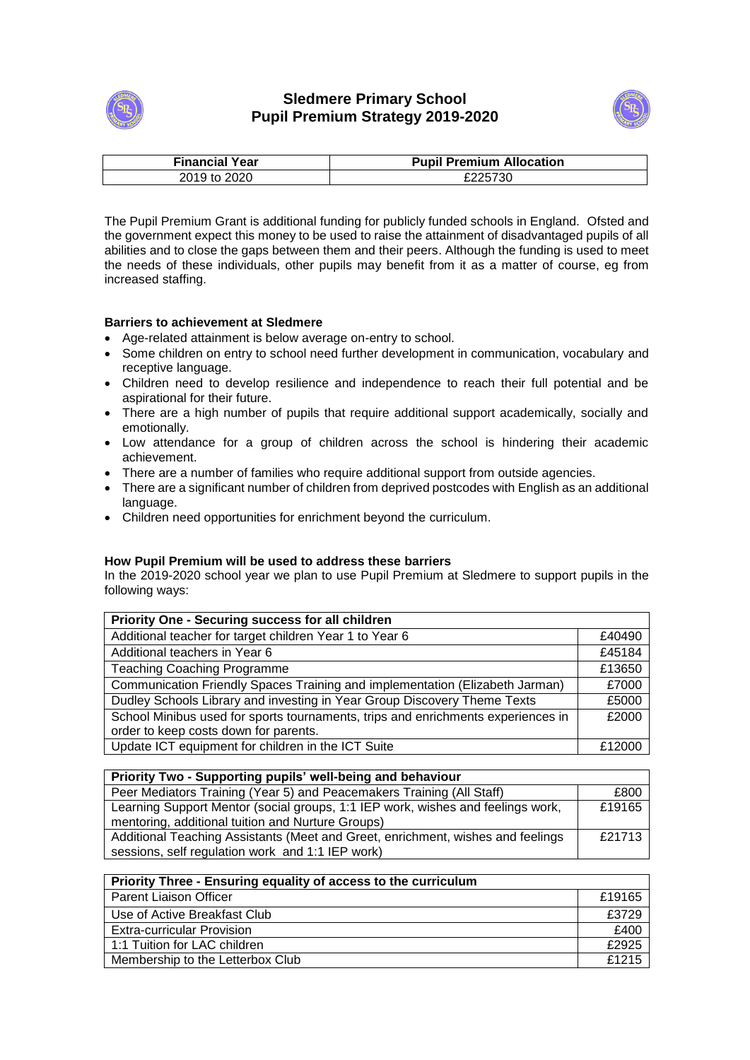



| <b>Financial Year</b> | <b>Pupil Premium Allocation</b> |
|-----------------------|---------------------------------|
| 2019 to 2020          | £225730                         |

The Pupil Premium Grant is additional funding for publicly funded schools in England. Ofsted and the government expect this money to be used to raise the attainment of disadvantaged pupils of all abilities and to close the gaps between them and their peers. Although the funding is used to meet the needs of these individuals, other pupils may benefit from it as a matter of course, eg from increased staffing.

## **Barriers to achievement at Sledmere**

- Age-related attainment is below average on-entry to school.
- Some children on entry to school need further development in communication, vocabulary and receptive language.
- Children need to develop resilience and independence to reach their full potential and be aspirational for their future.
- There are a high number of pupils that require additional support academically, socially and emotionally.
- Low attendance for a group of children across the school is hindering their academic achievement.
- There are a number of families who require additional support from outside agencies.
- There are a significant number of children from deprived postcodes with English as an additional language.
- Children need opportunities for enrichment beyond the curriculum.

## **How Pupil Premium will be used to address these barriers**

In the 2019-2020 school year we plan to use Pupil Premium at Sledmere to support pupils in the following ways:

| Priority One - Securing success for all children                                 |        |  |
|----------------------------------------------------------------------------------|--------|--|
| Additional teacher for target children Year 1 to Year 6                          | £40490 |  |
| Additional teachers in Year 6                                                    | £45184 |  |
| <b>Teaching Coaching Programme</b>                                               | £13650 |  |
| Communication Friendly Spaces Training and implementation (Elizabeth Jarman)     | £7000  |  |
| Dudley Schools Library and investing in Year Group Discovery Theme Texts         | £5000  |  |
| School Minibus used for sports tournaments, trips and enrichments experiences in | £2000  |  |
| order to keep costs down for parents.                                            |        |  |
| Update ICT equipment for children in the ICT Suite                               | £12000 |  |

| Priority Two - Supporting pupils' well-being and behaviour                      |        |  |
|---------------------------------------------------------------------------------|--------|--|
| Peer Mediators Training (Year 5) and Peacemakers Training (All Staff)           | £800   |  |
| Learning Support Mentor (social groups, 1:1 IEP work, wishes and feelings work, | £19165 |  |
| mentoring, additional tuition and Nurture Groups)                               |        |  |
| Additional Teaching Assistants (Meet and Greet, enrichment, wishes and feelings | £21713 |  |
| sessions, self regulation work and 1:1 IEP work)                                |        |  |

| Priority Three - Ensuring equality of access to the curriculum |        |
|----------------------------------------------------------------|--------|
| <b>Parent Liaison Officer</b>                                  | £19165 |
| Use of Active Breakfast Club                                   | £3729  |
| <b>Extra-curricular Provision</b>                              | £400   |
| 1:1 Tuition for LAC children                                   | £2925  |
| Membership to the Letterbox Club                               | £1215  |